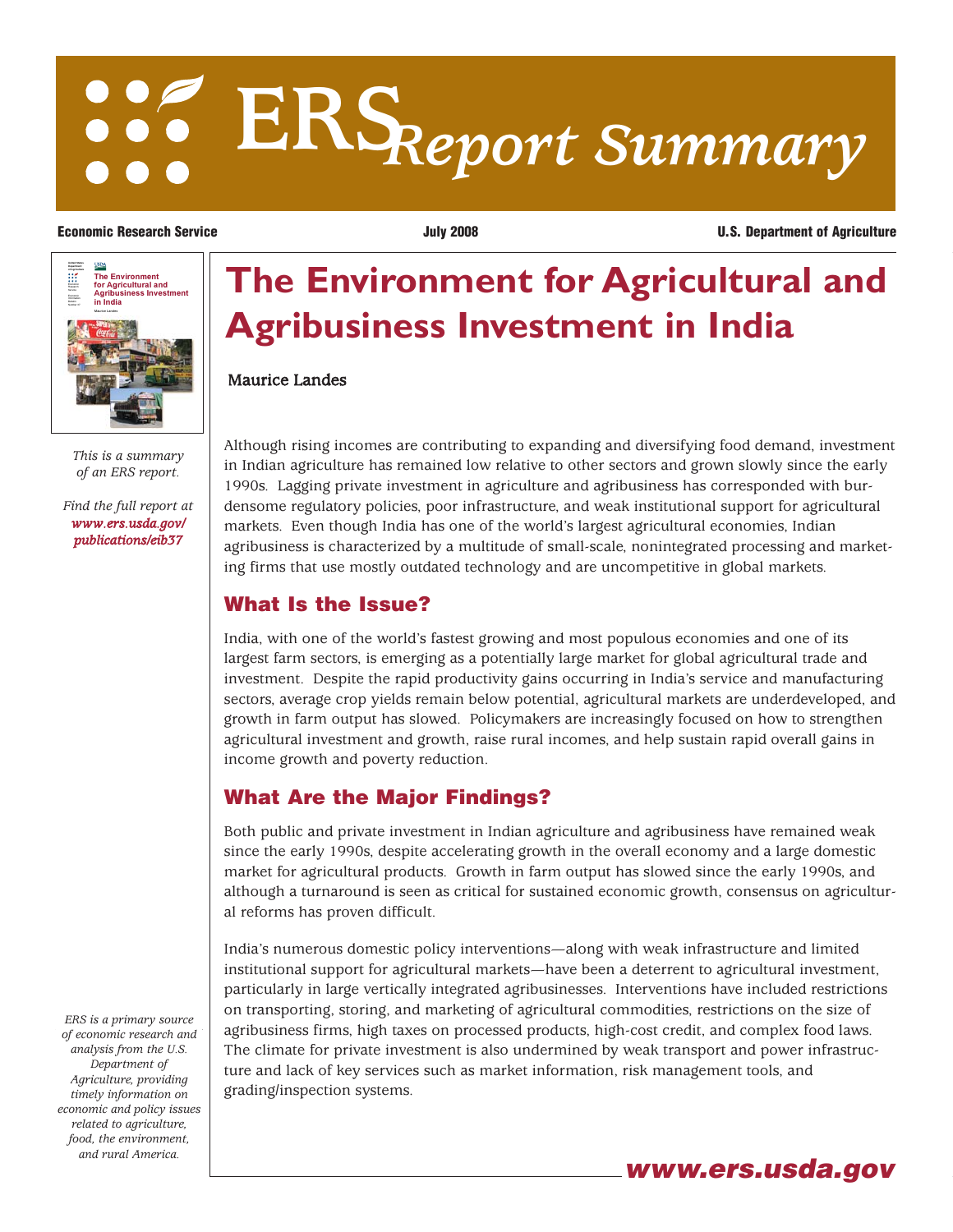# **ERS***Report Summary*



*This is a summary of an ERS report.*

*[Find the full report at](/publications/eib37) www.ers.usda.gov/ publications/eib37*

*ERS is a primary source of economic research and analysis from the U.S. Department of Agriculture, providing timely information on economic and policy issues related to agriculture, food, the environment, and rural America.*

**The Environment for Agricultural and Agribusiness Investment in India**

### Maurice Landes

Although rising incomes are contributing to expanding and diversifying food demand, investment in Indian agriculture has remained low relative to other sectors and grown slowly since the early 1990s. Lagging private investment in agriculture and agribusiness has corresponded with burdensome regulatory policies, poor infrastructure, and weak institutional support for agricultural markets. Even though India has one of the world's largest agricultural economies, Indian agribusiness is characterized by a multitude of small-scale, nonintegrated processing and marketing firms that use mostly outdated technology and are uncompetitive in global markets.

## **What Is the Issue?**

India, with one of the world's fastest growing and most populous economies and one of its largest farm sectors, is emerging as a potentially large market for global agricultural trade and investment. Despite the rapid productivity gains occurring in India's service and manufacturing sectors, average crop yields remain below potential, agricultural markets are underdeveloped, and growth in farm output has slowed. Policymakers are increasingly focused on how to strengthen agricultural investment and growth, raise rural incomes, and help sustain rapid overall gains in income growth and poverty reduction.

# **What Are the Major Findings?**

Both public and private investment in Indian agriculture and agribusiness have remained weak since the early 1990s, despite accelerating growth in the overall economy and a large domestic market for agricultural products. Growth in farm output has slowed since the early 1990s, and although a turnaround is seen as critical for sustained economic growth, consensus on agricultural reforms has proven difficult.

India's numerous domestic policy interventions—along with weak infrastructure and limited institutional support for agricultural markets—have been a deterrent to agricultural investment, particularly in large vertically integrated agribusinesses. Interventions have included restrictions on transporting, storing, and marketing of agricultural commodities, restrictions on the size of agribusiness firms, high taxes on processed products, high-cost credit, and complex food laws. The climate for private investment is also undermined by weak transport and power infrastructure and lack of key services such as market information, risk management tools, and grading/inspection systems.

**Economic Research Service July 2008 U.S. Department of Agriculture**